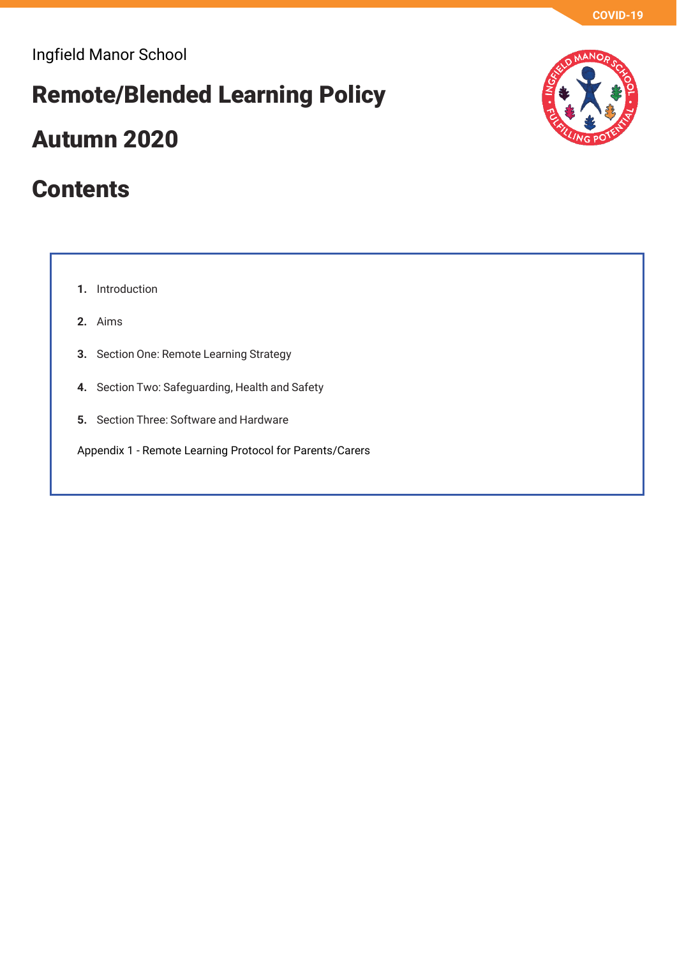# **Remote/Blended Learning Policy**

## **Autumn 2020**

## **Contents**

**1.** Introduction

- **2.** Aims
- **3.** Section One: Remote Learning Strategy
- **4.** Section Two: Safeguarding, Health and Safety
- **5.** Section Three: Software and Hardware

Appendix 1 - Remote Learning Protocol for Parents/Carers

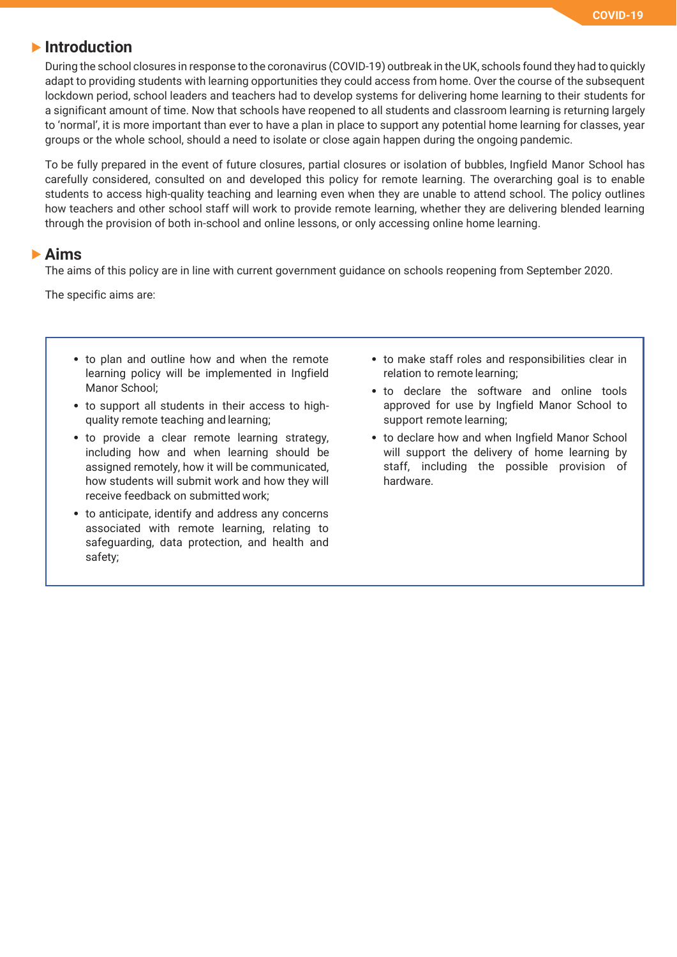#### **Introduction**

During the school closures in response to the coronavirus (COVID-19) outbreak in the UK, schools found they had to quickly adapt to providing students with learning opportunities they could access from home. Over the course of the subsequent lockdown period, school leaders and teachers had to develop systems for delivering home learning to their students for a significant amount of time. Now that schools have reopened to all students and classroom learning is returning largely to 'normal', it is more important than ever to have a plan in place to support any potential home learning for classes, year groups or the whole school, should a need to isolate or close again happen during the ongoing pandemic.

To be fully prepared in the event of future closures, partial closures or isolation of bubbles, Ingfield Manor School has carefully considered, consulted on and developed this policy for remote learning. The overarching goal is to enable students to access high-quality teaching and learning even when they are unable to attend school. The policy outlines how teachers and other school staff will work to provide remote learning, whether they are delivering blended learning through the provision of both in-school and online lessons, or only accessing online home learning.

#### **Aims**

The aims of this policy are in line with current government guidance on schools reopening from September 2020.

The specific aims are:

- to plan and outline how and when the remote learning policy will be implemented in Ingfield Manor School;
- to support all students in their access to highquality remote teaching and learning;
- to provide a clear remote learning strategy, including how and when learning should be assigned remotely, how it will be communicated, how students will submit work and how they will receive feedback on submitted work;
- to anticipate, identify and address any concerns associated with remote learning, relating to safeguarding, data protection, and health and safety;
- to make staff roles and responsibilities clear in relation to remote learning;
- to declare the software and online tools approved for use by Ingfield Manor School to support remote learning;
- to declare how and when Ingfield Manor School will support the delivery of home learning by staff, including the possible provision of hardware.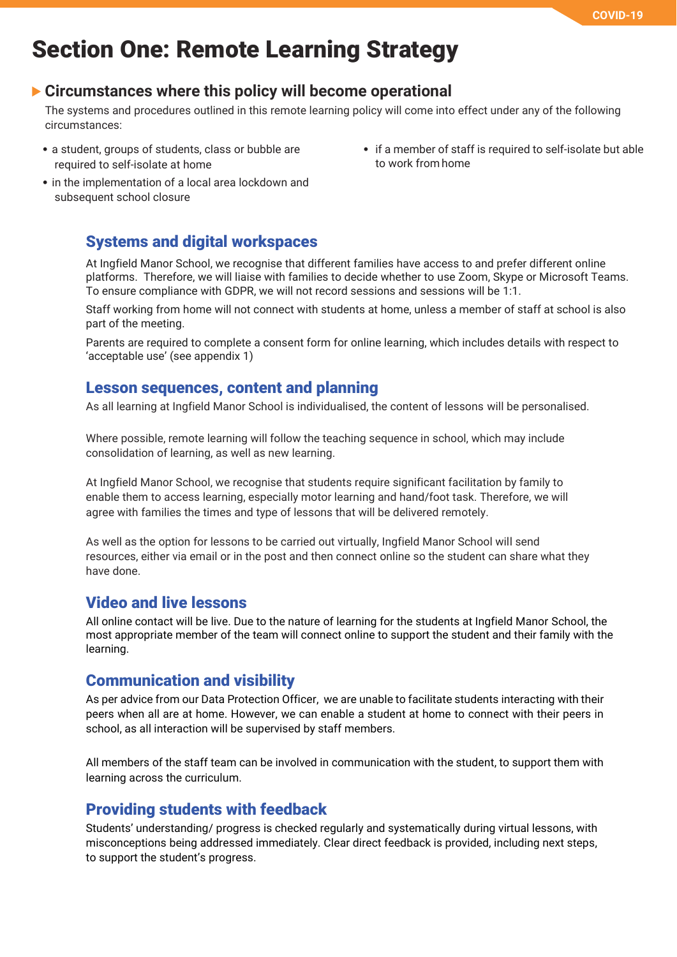## **Section One: Remote Learning Strategy**

### **Circumstances where this policy will become operational**

The systems and procedures outlined in this remote learning policy will come into effect under any of the following circumstances:

- a student, groups of students, class or bubble are required to self-isolate at home
- if a member of staff is required to self-isolate but able to work from home
- in the implementation of a local area lockdown and subsequent school closure

#### **Systems and digital workspaces**

At Ingfield Manor School, we recognise that different families have access to and prefer different online platforms. Therefore, we will liaise with families to decide whether to use Zoom, Skype or Microsoft Teams. To ensure compliance with GDPR, we will not record sessions and sessions will be 1:1.

Staff working from home will not connect with students at home, unless a member of staff at school is also part of the meeting.

Parents are required to complete a consent form for online learning, which includes details with respect to 'acceptable use' (see appendix 1)

#### **Lesson sequences, content and planning**

As all learning at Ingfield Manor School is individualised, the content of lessons will be personalised.

Where possible, remote learning will follow the teaching sequence in school, which may include consolidation of learning, as well as new learning.

At Ingfield Manor School, we recognise that students require significant facilitation by family to enable them to access learning, especially motor learning and hand/foot task. Therefore, we will agree with families the times and type of lessons that will be delivered remotely.

As well as the option for lessons to be carried out virtually, Ingfield Manor School will send resources, either via email or in the post and then connect online so the student can share what they have done.

#### **Video and live lessons**

All online contact will be live. Due to the nature of learning for the students at Ingfield Manor School, the most appropriate member of the team will connect online to support the student and their family with the learning.

#### **Communication and visibility**

As per advice from our Data Protection Officer, we are unable to facilitate students interacting with their peers when all are at home. However, we can enable a student at home to connect with their peers in school, as all interaction will be supervised by staff members.

All members of the staff team can be involved in communication with the student, to support them with learning across the curriculum.

### **Providing students with feedback**

Students' understanding/ progress is checked regularly and systematically during virtual lessons, with misconceptions being addressed immediately. Clear direct feedback is provided, including next steps, to support the student's progress.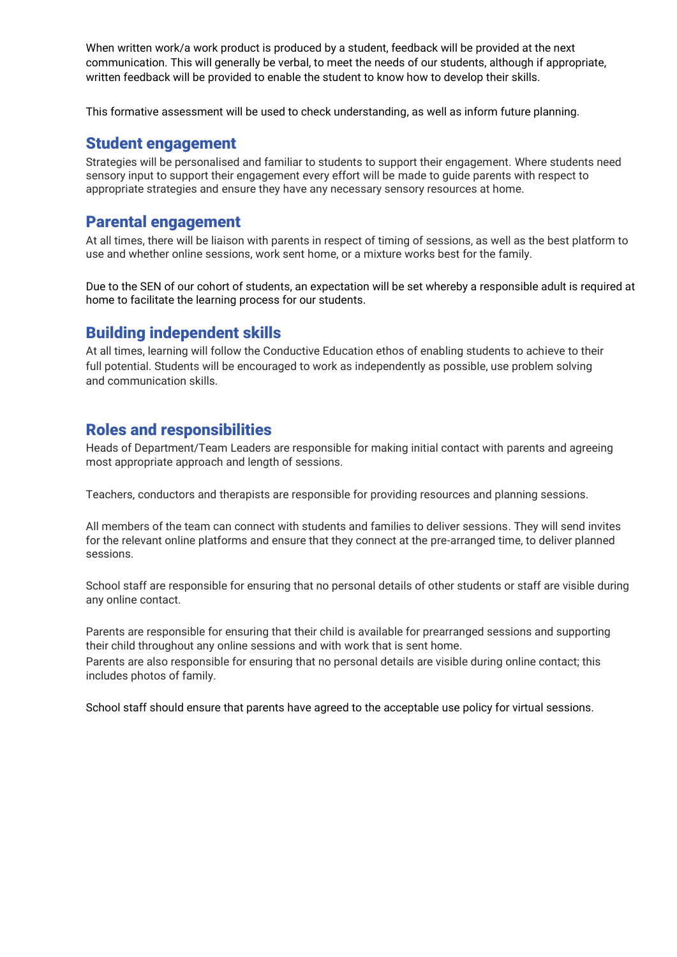When written work/a work product is produced by a student, feedback will be provided at the next communication. This will generally be verbal, to meet the needs of our students, although if appropriate, written feedback will be provided to enable the student to know how to develop their skills.

This formative assessment will be used to check understanding, as well as inform future planning.

#### **Student engagement**

Strategies will be personalised and familiar to students to support their engagement. Where students need sensory input to support their engagement every effort will be made to guide parents with respect to appropriate strategies and ensure they have any necessary sensory resources at home.

#### **Parental engagement**

At all times, there will be liaison with parents in respect of timing of sessions, as well as the best platform to use and whether online sessions, work sent home, or a mixture works best for the family.

Due to the SEN of our cohort of students, an expectation will be set whereby a responsible adult is required at home to facilitate the learning process for our students.

#### **Building independent skills**

At all times, learning will follow the Conductive Education ethos of enabling students to achieve to their full potential. Students will be encouraged to work as independently as possible, use problem solving and communication skills.

#### **Roles and responsibilities**

Heads of Department/Team Leaders are responsible for making initial contact with parents and agreeing most appropriate approach and length of sessions.

Teachers, conductors and therapists are responsible for providing resources and planning sessions.

All members of the team can connect with students and families to deliver sessions. They will send invites for the relevant online platforms and ensure that they connect at the pre-arranged time, to deliver planned sessions.

School staff are responsible for ensuring that no personal details of other students or staff are visible during any online contact.

Parents are responsible for ensuring that their child is available for prearranged sessions and supporting their child throughout any online sessions and with work that is sent home.

Parents are also responsible for ensuring that no personal details are visible during online contact; this includes photos of family.

School staff should ensure that parents have agreed to the acceptable use policy for virtual sessions.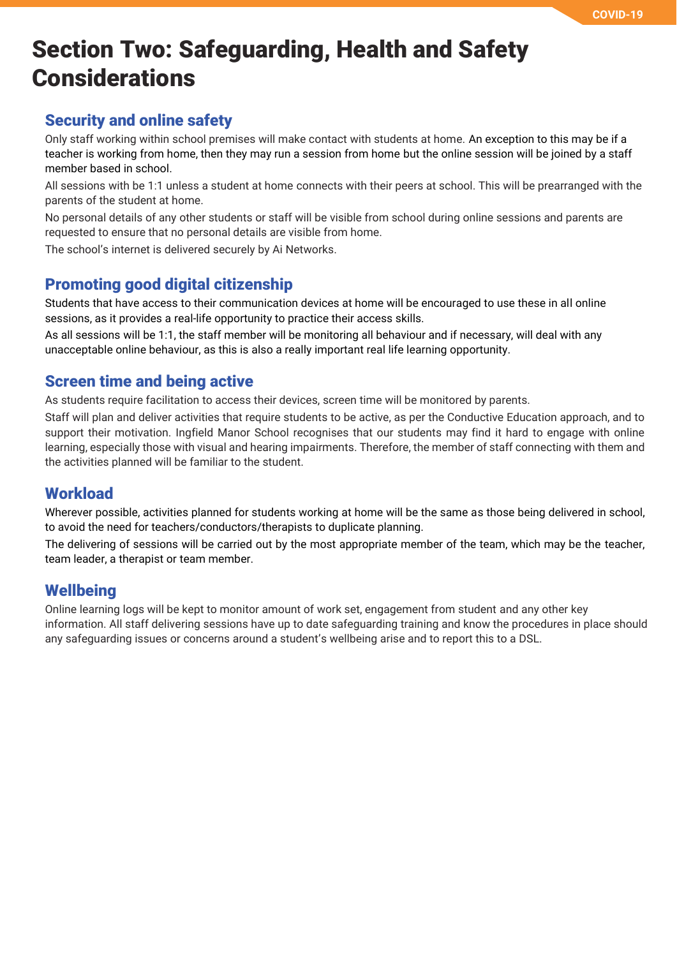## **Section Two: Safeguarding, Health and Safety Considerations**

### **Security and online safety**

Only staff working within school premises will make contact with students at home. An exception to this may be if a teacher is working from home, then they may run a session from home but the online session will be joined by a staff member based in school.

All sessions with be 1:1 unless a student at home connects with their peers at school. This will be prearranged with the parents of the student at home.

No personal details of any other students or staff will be visible from school during online sessions and parents are requested to ensure that no personal details are visible from home.

The school's internet is delivered securely by Ai Networks.

### **Promoting good digital citizenship**

Students that have access to their communication devices at home will be encouraged to use these in all online sessions, as it provides a real-life opportunity to practice their access skills.

As all sessions will be 1:1, the staff member will be monitoring all behaviour and if necessary, will deal with any unacceptable online behaviour, as this is also a really important real life learning opportunity.

#### **Screen time and being active**

As students require facilitation to access their devices, screen time will be monitored by parents.

Staff will plan and deliver activities that require students to be active, as per the Conductive Education approach, and to support their motivation. Ingfield Manor School recognises that our students may find it hard to engage with online learning, especially those with visual and hearing impairments. Therefore, the member of staff connecting with them and the activities planned will be familiar to the student.

### **Workload**

Wherever possible, activities planned for students working at home will be the same as those being delivered in school, to avoid the need for teachers/conductors/therapists to duplicate planning.

The delivering of sessions will be carried out by the most appropriate member of the team, which may be the teacher, team leader, a therapist or team member.

### **Wellbeing**

Online learning logs will be kept to monitor amount of work set, engagement from student and any other key information. All staff delivering sessions have up to date safeguarding training and know the procedures in place should any safeguarding issues or concerns around a student's wellbeing arise and to report this to a DSL.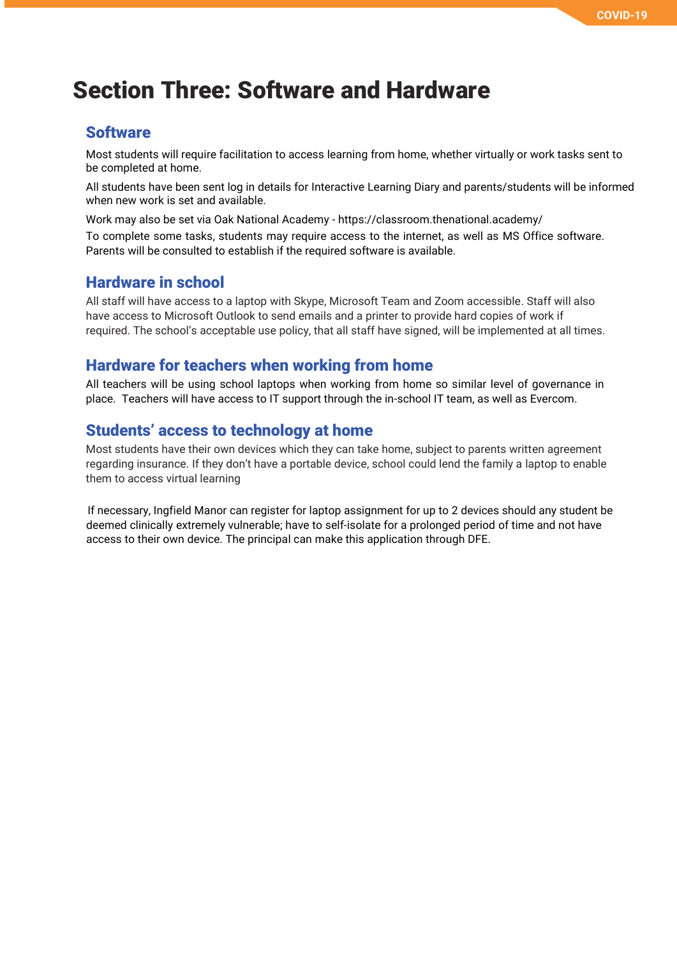## **Section Three: Software and Hardware**

### **Software**

Most students will require facilitation to access learning from home, whether virtually or work tasks sent to be completed at home.

All students have been sent log in details for Interactive Learning Diary and parents/students will be informed when new work is set and available.

Work may also be set via Oak National Academy - https://classroom.thenational.academy/ To complete some tasks, students may require access to the internet, as well as MS Office software. Parents will be consulted to establish if the required software is available.

#### **Hardware in school**

All staff will have access to a laptop with Skype, Microsoft Team and Zoom accessible. Staff will also have access to Microsoft Outlook to send emails and a printer to provide hard copies of work if required. The school's acceptable use policy, that all staff have signed, will be implemented at all times.

#### **Hardware for teachers when working from home**

All teachers will be using school laptops when working from home so similar level of governance in place. Teachers will have access to IT support through the in-school IT team, as well as Evercom.

#### **Students' access to technology at home**

Most students have their own devices which they can take home, subject to parents written agreement regarding insurance. If they don't have a portable device, school could lend the family a laptop to enable them to access virtual learning

 If necessary, Ingfield Manor can register for laptop assignment for up to 2 devices should any student be deemed clinically extremely vulnerable; have to self-isolate for a prolonged period of time and not have access to their own device. The principal can make this application through DFE.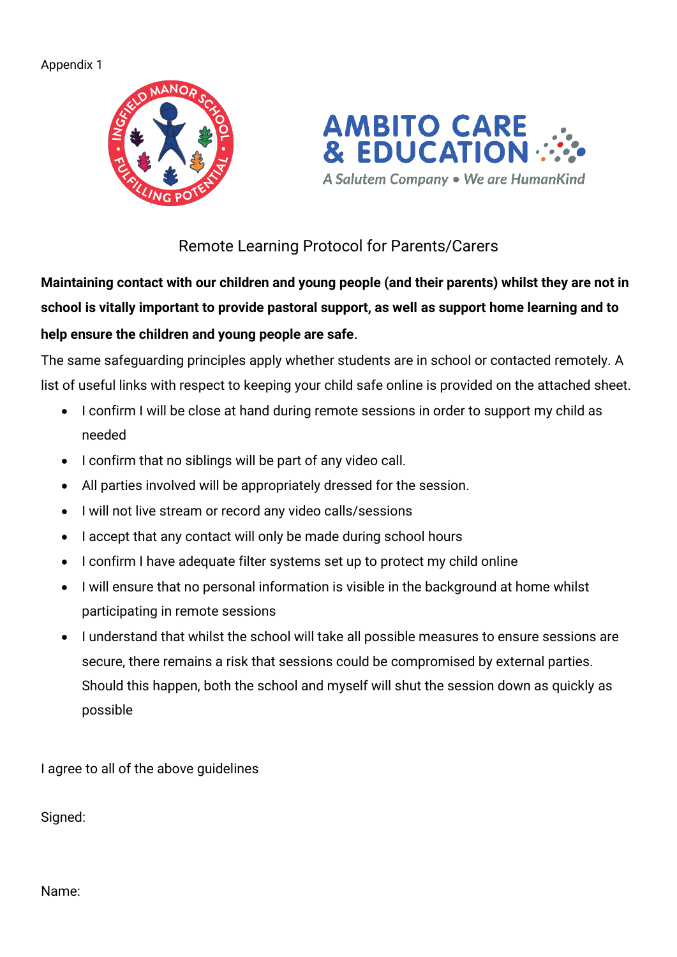Appendix 1





Remote Learning Protocol for Parents/Carers

**Maintaining contact with our children and young people (and their parents) whilst they are not in school is vitally important to provide pastoral support, as well as support home learning and to help ensure the children and young people are safe**.

The same safeguarding principles apply whether students are in school or contacted remotely. A list of useful links with respect to keeping your child safe online is provided on the attached sheet.

- I confirm I will be close at hand during remote sessions in order to support my child as needed
- I confirm that no siblings will be part of any video call.
- All parties involved will be appropriately dressed for the session.
- I will not live stream or record any video calls/sessions
- I accept that any contact will only be made during school hours
- I confirm I have adequate filter systems set up to protect my child online
- I will ensure that no personal information is visible in the background at home whilst participating in remote sessions
- I understand that whilst the school will take all possible measures to ensure sessions are secure, there remains a risk that sessions could be compromised by external parties. Should this happen, both the school and myself will shut the session down as quickly as possible

I agree to all of the above guidelines

Signed:

Name: